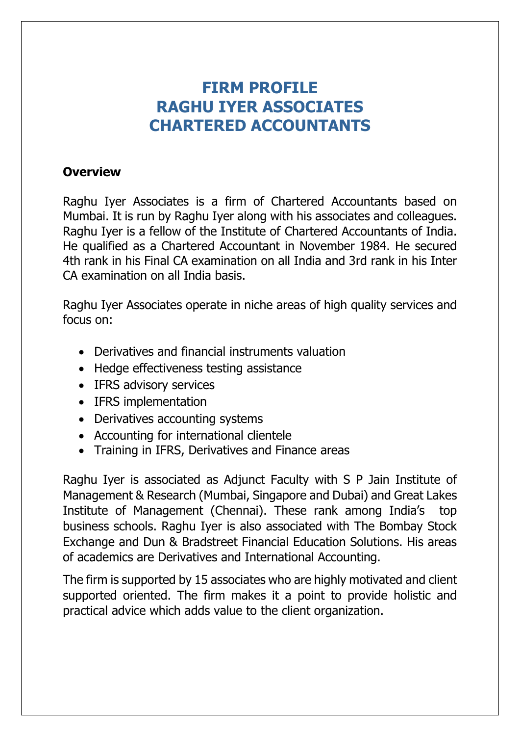## **FIRM PROFILE RAGHU IYER ASSOCIATES CHARTERED ACCOUNTANTS**

## **Overview**

Raghu Iyer Associates is a firm of Chartered Accountants based on Mumbai. It is run by Raghu Iyer along with his associates and colleagues. Raghu Iyer is a fellow of the Institute of Chartered Accountants of India. He qualified as a Chartered Accountant in November 1984. He secured 4th rank in his Final CA examination on all India and 3rd rank in his Inter CA examination on all India basis.

Raghu Iyer Associates operate in niche areas of high quality services and focus on:

- Derivatives and financial instruments valuation
- Hedge effectiveness testing assistance
- IFRS advisory services
- IFRS implementation
- Derivatives accounting systems
- Accounting for international clientele
- Training in IFRS, Derivatives and Finance areas

Raghu Iyer is associated as Adjunct Faculty with S P Jain Institute of Management & Research (Mumbai, Singapore and Dubai) and Great Lakes Institute of Management (Chennai). These rank among India's top business schools. Raghu Iyer is also associated with The Bombay Stock Exchange and Dun & Bradstreet Financial Education Solutions. His areas of academics are Derivatives and International Accounting.

The firm is supported by 15 associates who are highly motivated and client supported oriented. The firm makes it a point to provide holistic and practical advice which adds value to the client organization.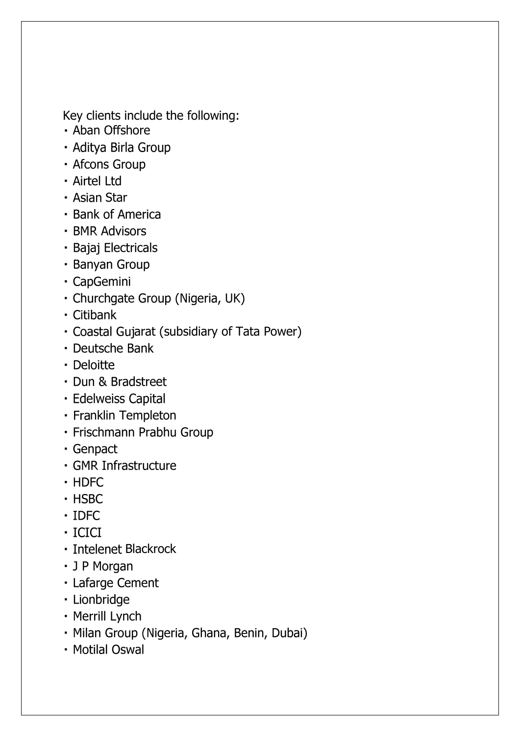Key clients include the following:

- · Aban Offshore
- · Aditya Birla Group
- · Afcons Group
- · Airtel Ltd
- Asian Star
- · Bank of America
- · BMR Advisors
- · Bajaj Electricals
- · Banyan Group
- · CapGemini
- · Churchgate Group (Nigeria, UK)
- · Citibank
- · Coastal Gujarat (subsidiary of Tata Power)
- · Deutsche Bank
- · Deloitte
- · Dun & Bradstreet
- · Edelweiss Capital
- · Franklin Templeton
- · Frischmann Prabhu Group
- · Genpact
- · GMR Infrastructure
- · HDFC
- · HSBC
- $\cdot$  IDFC
- · ICICI
- · Intelenet Blackrock
- · J P Morgan
- · Lafarge Cement
- · Lionbridge
- Merrill Lynch
- · Milan Group (Nigeria, Ghana, Benin, Dubai)
- Motilal Oswal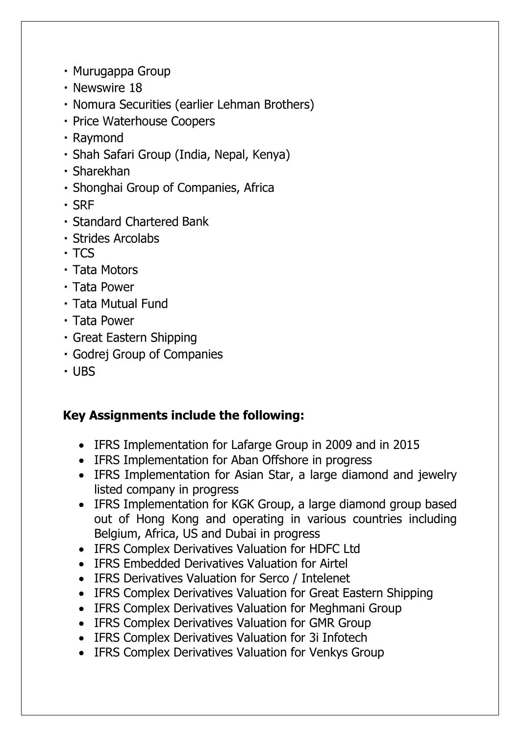- Murugappa Group
- · Newswire 18
- Nomura Securities (earlier Lehman Brothers)
- · Price Waterhouse Coopers
- · Raymond
- · Shah Safari Group (India, Nepal, Kenya)
- · Sharekhan
- Shonghai Group of Companies, Africa
- $-SRF$
- Standard Chartered Bank
- · Strides Arcolabs
- $-TCS$
- · Tata Motors
- · Tata Power
- Tata Mutual Fund
- · Tata Power
- · Great Eastern Shipping
- · Godrej Group of Companies
- $-1IBS$

## **Key Assignments include the following:**

- IFRS Implementation for Lafarge Group in 2009 and in 2015
- IFRS Implementation for Aban Offshore in progress
- IFRS Implementation for Asian Star, a large diamond and jewelry listed company in progress
- IFRS Implementation for KGK Group, a large diamond group based out of Hong Kong and operating in various countries including Belgium, Africa, US and Dubai in progress
- IFRS Complex Derivatives Valuation for HDFC Ltd
- IFRS Embedded Derivatives Valuation for Airtel
- IFRS Derivatives Valuation for Serco / Intelenet
- IFRS Complex Derivatives Valuation for Great Eastern Shipping
- IFRS Complex Derivatives Valuation for Meghmani Group
- IFRS Complex Derivatives Valuation for GMR Group
- IFRS Complex Derivatives Valuation for 3i Infotech
- IFRS Complex Derivatives Valuation for Venkys Group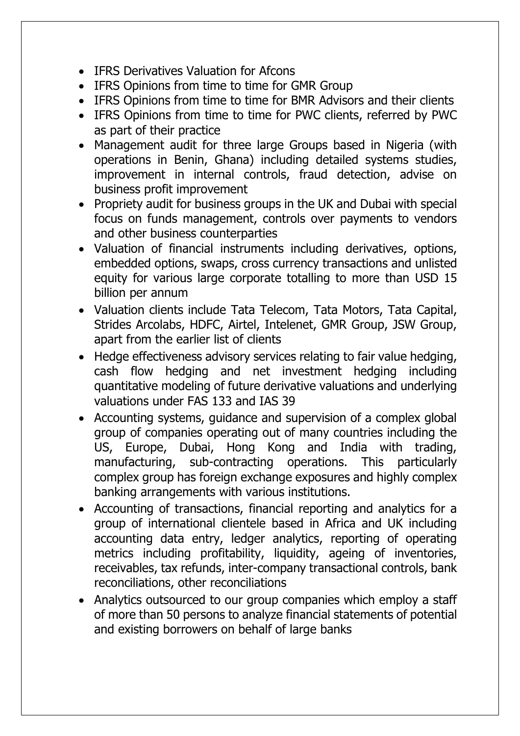- **IFRS Derivatives Valuation for Afcons**
- IFRS Opinions from time to time for GMR Group
- IFRS Opinions from time to time for BMR Advisors and their clients
- IFRS Opinions from time to time for PWC clients, referred by PWC as part of their practice
- Management audit for three large Groups based in Nigeria (with operations in Benin, Ghana) including detailed systems studies, improvement in internal controls, fraud detection, advise on business profit improvement
- Propriety audit for business groups in the UK and Dubai with special focus on funds management, controls over payments to vendors and other business counterparties
- Valuation of financial instruments including derivatives, options, embedded options, swaps, cross currency transactions and unlisted equity for various large corporate totalling to more than USD 15 billion per annum
- Valuation clients include Tata Telecom, Tata Motors, Tata Capital, Strides Arcolabs, HDFC, Airtel, Intelenet, GMR Group, JSW Group, apart from the earlier list of clients
- Hedge effectiveness advisory services relating to fair value hedging, cash flow hedging and net investment hedging including quantitative modeling of future derivative valuations and underlying valuations under FAS 133 and IAS 39
- Accounting systems, guidance and supervision of a complex global group of companies operating out of many countries including the US, Europe, Dubai, Hong Kong and India with trading, manufacturing, sub-contracting operations. This particularly complex group has foreign exchange exposures and highly complex banking arrangements with various institutions.
- Accounting of transactions, financial reporting and analytics for a group of international clientele based in Africa and UK including accounting data entry, ledger analytics, reporting of operating metrics including profitability, liquidity, ageing of inventories, receivables, tax refunds, inter-company transactional controls, bank reconciliations, other reconciliations
- Analytics outsourced to our group companies which employ a staff of more than 50 persons to analyze financial statements of potential and existing borrowers on behalf of large banks